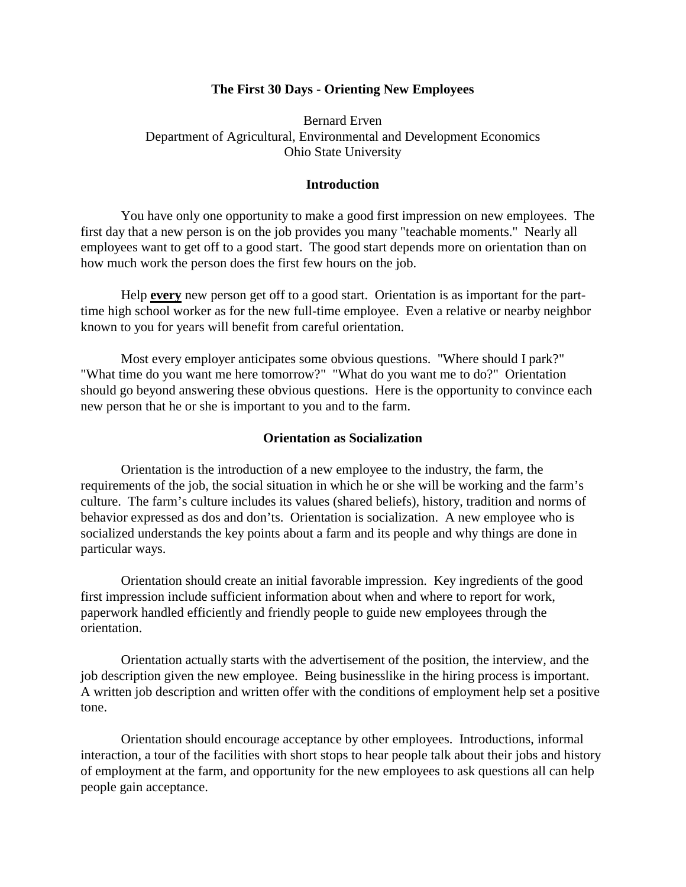## **The First 30 Days - Orienting New Employees**

Bernard Erven Department of Agricultural, Environmental and Development Economics Ohio State University

### **Introduction**

 You have only one opportunity to make a good first impression on new employees. The first day that a new person is on the job provides you many "teachable moments." Nearly all employees want to get off to a good start. The good start depends more on orientation than on how much work the person does the first few hours on the job.

 Help **every** new person get off to a good start. Orientation is as important for the parttime high school worker as for the new full-time employee. Even a relative or nearby neighbor known to you for years will benefit from careful orientation.

 Most every employer anticipates some obvious questions. "Where should I park?" "What time do you want me here tomorrow?" "What do you want me to do?" Orientation should go beyond answering these obvious questions. Here is the opportunity to convince each new person that he or she is important to you and to the farm.

### **Orientation as Socialization**

 Orientation is the introduction of a new employee to the industry, the farm, the requirements of the job, the social situation in which he or she will be working and the farm's culture. The farm's culture includes its values (shared beliefs), history, tradition and norms of behavior expressed as dos and don'ts. Orientation is socialization. A new employee who is socialized understands the key points about a farm and its people and why things are done in particular ways.

 Orientation should create an initial favorable impression. Key ingredients of the good first impression include sufficient information about when and where to report for work, paperwork handled efficiently and friendly people to guide new employees through the orientation.

Orientation actually starts with the advertisement of the position, the interview, and the job description given the new employee. Being businesslike in the hiring process is important. A written job description and written offer with the conditions of employment help set a positive tone.

 Orientation should encourage acceptance by other employees. Introductions, informal interaction, a tour of the facilities with short stops to hear people talk about their jobs and history of employment at the farm, and opportunity for the new employees to ask questions all can help people gain acceptance.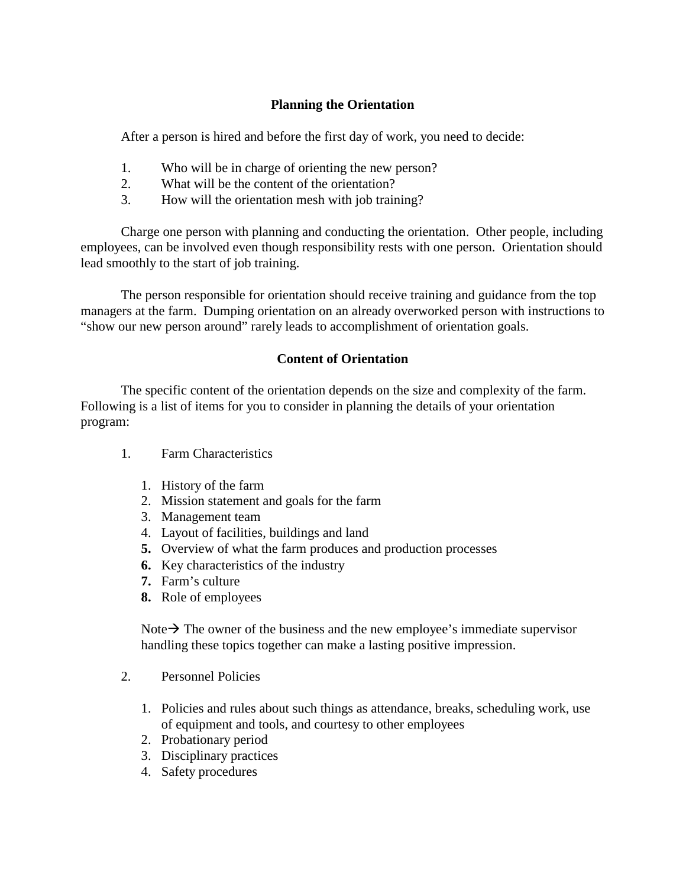# **Planning the Orientation**

After a person is hired and before the first day of work, you need to decide:

- 1. Who will be in charge of orienting the new person?
- 2. What will be the content of the orientation?
- 3. How will the orientation mesh with job training?

 Charge one person with planning and conducting the orientation. Other people, including employees, can be involved even though responsibility rests with one person. Orientation should lead smoothly to the start of job training.

 The person responsible for orientation should receive training and guidance from the top managers at the farm. Dumping orientation on an already overworked person with instructions to "show our new person around" rarely leads to accomplishment of orientation goals.

# **Content of Orientation**

 The specific content of the orientation depends on the size and complexity of the farm. Following is a list of items for you to consider in planning the details of your orientation program:

- 1. Farm Characteristics
	- 1. History of the farm
	- 2. Mission statement and goals for the farm
	- 3. Management team
	- 4. Layout of facilities, buildings and land
	- **5.** Overview of what the farm produces and production processes
	- **6.** Key characteristics of the industry
	- **7.** Farm's culture
	- **8.** Role of employees

Note  $\rightarrow$  The owner of the business and the new employee's immediate supervisor handling these topics together can make a lasting positive impression.

- 2. Personnel Policies
	- 1. Policies and rules about such things as attendance, breaks, scheduling work, use of equipment and tools, and courtesy to other employees
	- 2. Probationary period
	- 3. Disciplinary practices
	- 4. Safety procedures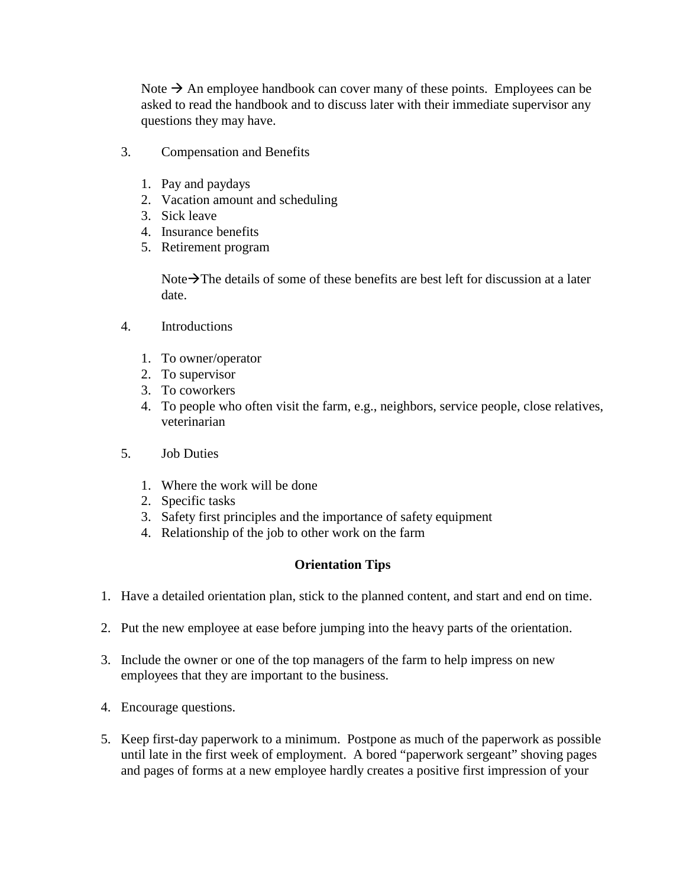Note  $\rightarrow$  An employee handbook can cover many of these points. Employees can be asked to read the handbook and to discuss later with their immediate supervisor any questions they may have.

- 3. Compensation and Benefits
	- 1. Pay and paydays
	- 2. Vacation amount and scheduling
	- 3. Sick leave
	- 4. Insurance benefits
	- 5. Retirement program

Note $\rightarrow$ The details of some of these benefits are best left for discussion at a later date.

- 4. Introductions
	- 1. To owner/operator
	- 2. To supervisor
	- 3. To coworkers
	- 4. To people who often visit the farm, e.g., neighbors, service people, close relatives, veterinarian
- 5. Job Duties
	- 1. Where the work will be done
	- 2. Specific tasks
	- 3. Safety first principles and the importance of safety equipment
	- 4. Relationship of the job to other work on the farm

# **Orientation Tips**

- 1. Have a detailed orientation plan, stick to the planned content, and start and end on time.
- 2. Put the new employee at ease before jumping into the heavy parts of the orientation.
- 3. Include the owner or one of the top managers of the farm to help impress on new employees that they are important to the business.
- 4. Encourage questions.
- 5. Keep first-day paperwork to a minimum. Postpone as much of the paperwork as possible until late in the first week of employment. A bored "paperwork sergeant" shoving pages and pages of forms at a new employee hardly creates a positive first impression of your